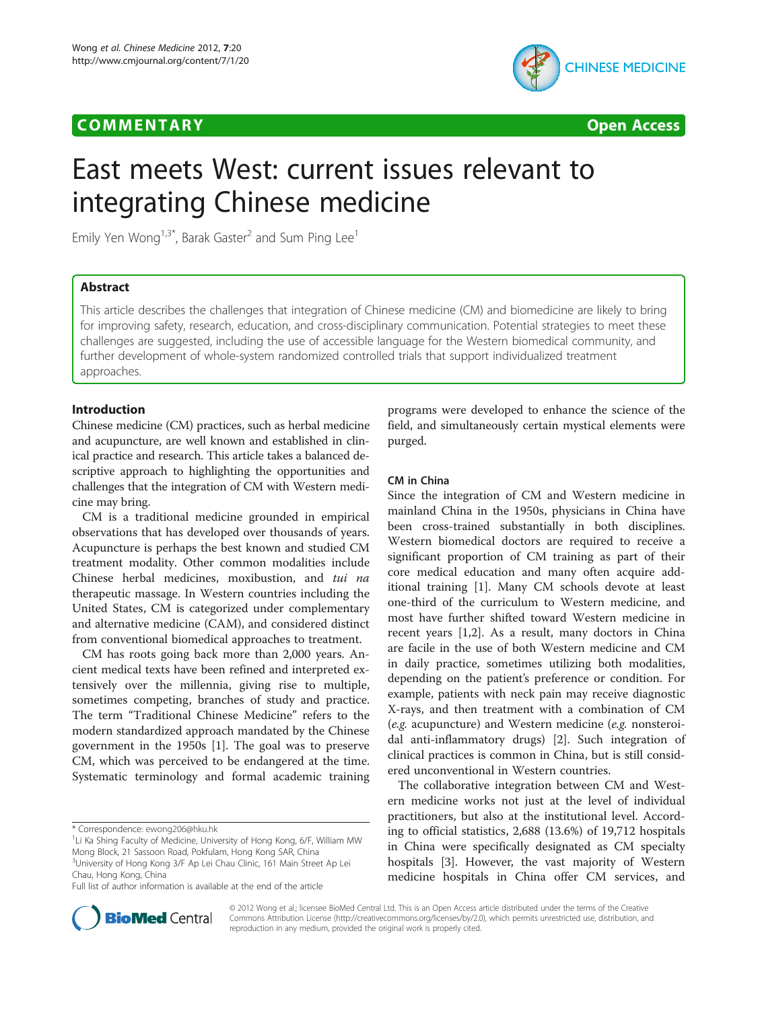## **COMMENTARY COMMENTARY COMMENTARY**





# East meets West: current issues relevant to integrating Chinese medicine

Emily Yen Wong<sup>1,3\*</sup>, Barak Gaster<sup>2</sup> and Sum Ping Lee<sup>1</sup>

## Abstract

This article describes the challenges that integration of Chinese medicine (CM) and biomedicine are likely to bring for improving safety, research, education, and cross-disciplinary communication. Potential strategies to meet these challenges are suggested, including the use of accessible language for the Western biomedical community, and further development of whole-system randomized controlled trials that support individualized treatment approaches.

## Introduction

Chinese medicine (CM) practices, such as herbal medicine and acupuncture, are well known and established in clinical practice and research. This article takes a balanced descriptive approach to highlighting the opportunities and challenges that the integration of CM with Western medicine may bring.

CM is a traditional medicine grounded in empirical observations that has developed over thousands of years. Acupuncture is perhaps the best known and studied CM treatment modality. Other common modalities include Chinese herbal medicines, moxibustion, and tui na therapeutic massage. In Western countries including the United States, CM is categorized under complementary and alternative medicine (CAM), and considered distinct from conventional biomedical approaches to treatment.

CM has roots going back more than 2,000 years. Ancient medical texts have been refined and interpreted extensively over the millennia, giving rise to multiple, sometimes competing, branches of study and practice. The term "Traditional Chinese Medicine" refers to the modern standardized approach mandated by the Chinese government in the 1950s [\[1](#page-3-0)]. The goal was to preserve CM, which was perceived to be endangered at the time. Systematic terminology and formal academic training programs were developed to enhance the science of the field, and simultaneously certain mystical elements were purged.

#### CM in China

Since the integration of CM and Western medicine in mainland China in the 1950s, physicians in China have been cross-trained substantially in both disciplines. Western biomedical doctors are required to receive a significant proportion of CM training as part of their core medical education and many often acquire additional training [[1\]](#page-3-0). Many CM schools devote at least one-third of the curriculum to Western medicine, and most have further shifted toward Western medicine in recent years [\[1,2](#page-3-0)]. As a result, many doctors in China are facile in the use of both Western medicine and CM in daily practice, sometimes utilizing both modalities, depending on the patient's preference or condition. For example, patients with neck pain may receive diagnostic X-rays, and then treatment with a combination of CM (e.g. acupuncture) and Western medicine (e.g. nonsteroidal anti-inflammatory drugs) [[2\]](#page-3-0). Such integration of clinical practices is common in China, but is still considered unconventional in Western countries.

The collaborative integration between CM and Western medicine works not just at the level of individual practitioners, but also at the institutional level. According to official statistics, 2,688 (13.6%) of 19,712 hospitals in China were specifically designated as CM specialty hospitals [[3\]](#page-3-0). However, the vast majority of Western medicine hospitals in China offer CM services, and



© 2012 Wong et al.; licensee BioMed Central Ltd. This is an Open Access article distributed under the terms of the Creative Commons Attribution License [\(http://creativecommons.org/licenses/by/2.0\)](http://creativecommons.org/licenses/by/2.0), which permits unrestricted use, distribution, and reproduction in any medium, provided the original work is properly cited.

<sup>\*</sup> Correspondence: [ewong206@hku.hk](mailto:ewong206@hku.hk) <sup>1</sup>

<sup>&</sup>lt;sup>1</sup>Li Ka Shing Faculty of Medicine, University of Hong Kong, 6/F, William MW Mong Block, 21 Sassoon Road, Pokfulam, Hong Kong SAR, China <sup>3</sup>University of Hong Kong 3/F Ap Lei Chau Clinic, 161 Main Street Ap Lei

Chau, Hong Kong, China

Full list of author information is available at the end of the article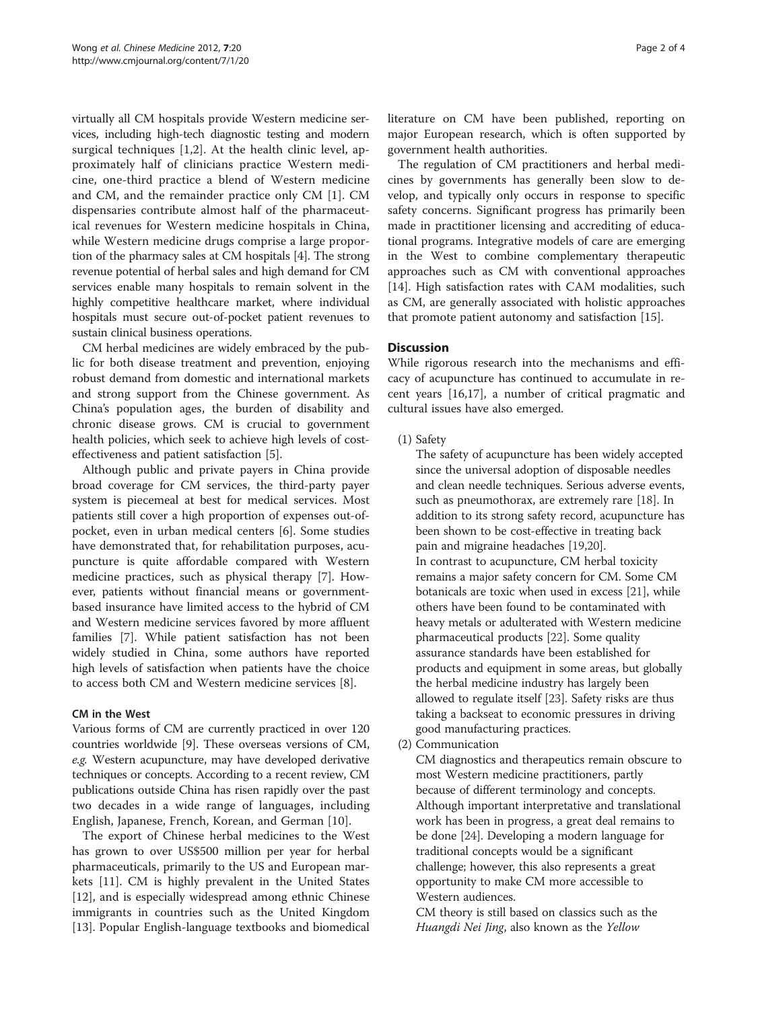virtually all CM hospitals provide Western medicine services, including high-tech diagnostic testing and modern surgical techniques [\[1](#page-3-0),[2\]](#page-3-0). At the health clinic level, approximately half of clinicians practice Western medicine, one-third practice a blend of Western medicine and CM, and the remainder practice only CM [[1\]](#page-3-0). CM dispensaries contribute almost half of the pharmaceutical revenues for Western medicine hospitals in China, while Western medicine drugs comprise a large proportion of the pharmacy sales at CM hospitals [[4\]](#page-3-0). The strong revenue potential of herbal sales and high demand for CM services enable many hospitals to remain solvent in the highly competitive healthcare market, where individual hospitals must secure out-of-pocket patient revenues to sustain clinical business operations.

CM herbal medicines are widely embraced by the public for both disease treatment and prevention, enjoying robust demand from domestic and international markets and strong support from the Chinese government. As China's population ages, the burden of disability and chronic disease grows. CM is crucial to government health policies, which seek to achieve high levels of costeffectiveness and patient satisfaction [[5\]](#page-3-0).

Although public and private payers in China provide broad coverage for CM services, the third-party payer system is piecemeal at best for medical services. Most patients still cover a high proportion of expenses out-ofpocket, even in urban medical centers [\[6](#page-3-0)]. Some studies have demonstrated that, for rehabilitation purposes, acupuncture is quite affordable compared with Western medicine practices, such as physical therapy [[7\]](#page-3-0). However, patients without financial means or governmentbased insurance have limited access to the hybrid of CM and Western medicine services favored by more affluent families [\[7](#page-3-0)]. While patient satisfaction has not been widely studied in China, some authors have reported high levels of satisfaction when patients have the choice to access both CM and Western medicine services [\[8\]](#page-3-0).

## CM in the West

Various forms of CM are currently practiced in over 120 countries worldwide [\[9](#page-3-0)]. These overseas versions of CM, e.g. Western acupuncture, may have developed derivative techniques or concepts. According to a recent review, CM publications outside China has risen rapidly over the past two decades in a wide range of languages, including English, Japanese, French, Korean, and German [[10\]](#page-3-0).

The export of Chinese herbal medicines to the West has grown to over US\$500 million per year for herbal pharmaceuticals, primarily to the US and European markets [[11\]](#page-3-0). CM is highly prevalent in the United States [[12\]](#page-3-0), and is especially widespread among ethnic Chinese immigrants in countries such as the United Kingdom [[13\]](#page-3-0). Popular English-language textbooks and biomedical literature on CM have been published, reporting on major European research, which is often supported by government health authorities.

The regulation of CM practitioners and herbal medicines by governments has generally been slow to develop, and typically only occurs in response to specific safety concerns. Significant progress has primarily been made in practitioner licensing and accrediting of educational programs. Integrative models of care are emerging in the West to combine complementary therapeutic approaches such as CM with conventional approaches [[14\]](#page-3-0). High satisfaction rates with CAM modalities, such as CM, are generally associated with holistic approaches that promote patient autonomy and satisfaction [[15](#page-3-0)].

## **Discussion**

While rigorous research into the mechanisms and efficacy of acupuncture has continued to accumulate in recent years [\[16,17](#page-3-0)], a number of critical pragmatic and cultural issues have also emerged.

(1) Safety

The safety of acupuncture has been widely accepted since the universal adoption of disposable needles and clean needle techniques. Serious adverse events, such as pneumothorax, are extremely rare [\[18](#page-3-0)]. In addition to its strong safety record, acupuncture has been shown to be cost-effective in treating back pain and migraine headaches [[19](#page-3-0),[20](#page-3-0)]. In contrast to acupuncture, CM herbal toxicity remains a major safety concern for CM. Some CM botanicals are toxic when used in excess [\[21](#page-3-0)], while others have been found to be contaminated with heavy metals or adulterated with Western medicine pharmaceutical products [[22](#page-3-0)]. Some quality assurance standards have been established for products and equipment in some areas, but globally the herbal medicine industry has largely been allowed to regulate itself [\[23\]](#page-3-0). Safety risks are thus taking a backseat to economic pressures in driving good manufacturing practices.

(2) Communication

CM diagnostics and therapeutics remain obscure to most Western medicine practitioners, partly because of different terminology and concepts. Although important interpretative and translational work has been in progress, a great deal remains to be done [[24\]](#page-3-0). Developing a modern language for traditional concepts would be a significant challenge; however, this also represents a great opportunity to make CM more accessible to Western audiences.

CM theory is still based on classics such as the Huangdi Nei Jing, also known as the Yellow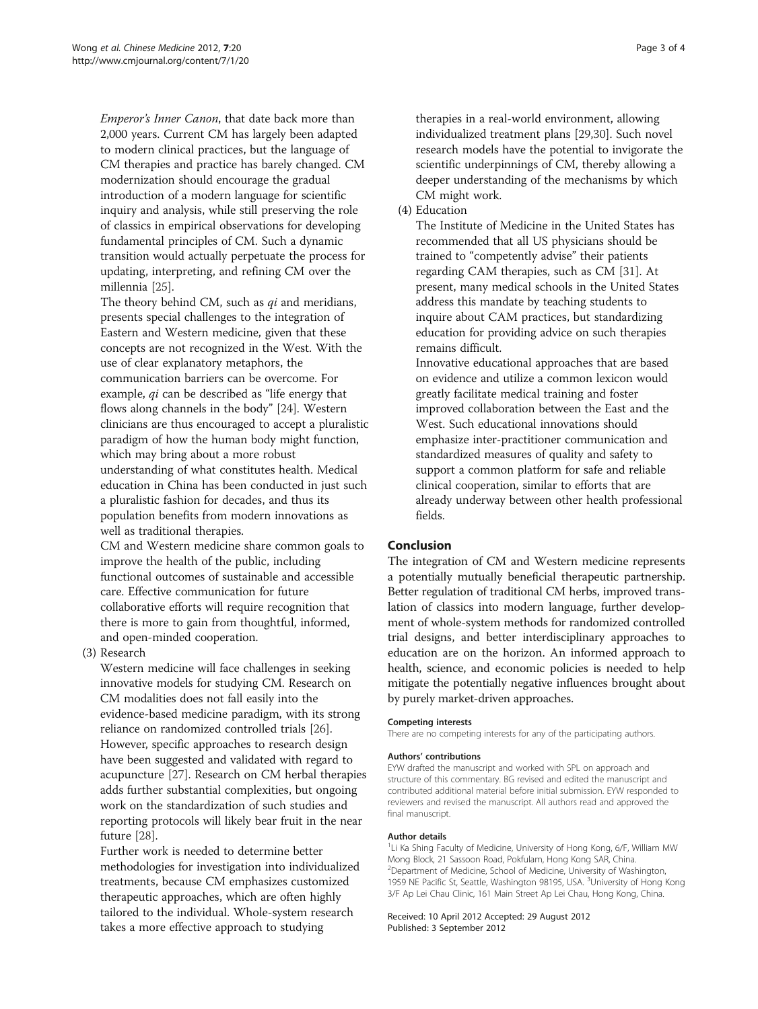Emperor's Inner Canon, that date back more than 2,000 years. Current CM has largely been adapted to modern clinical practices, but the language of CM therapies and practice has barely changed. CM modernization should encourage the gradual introduction of a modern language for scientific inquiry and analysis, while still preserving the role of classics in empirical observations for developing fundamental principles of CM. Such a dynamic transition would actually perpetuate the process for updating, interpreting, and refining CM over the millennia [\[25\]](#page-3-0).

The theory behind CM, such as *qi* and meridians, presents special challenges to the integration of Eastern and Western medicine, given that these concepts are not recognized in the West. With the use of clear explanatory metaphors, the communication barriers can be overcome. For example, qi can be described as "life energy that flows along channels in the body" [[24](#page-3-0)]. Western clinicians are thus encouraged to accept a pluralistic paradigm of how the human body might function, which may bring about a more robust understanding of what constitutes health. Medical education in China has been conducted in just such a pluralistic fashion for decades, and thus its population benefits from modern innovations as well as traditional therapies.

CM and Western medicine share common goals to improve the health of the public, including functional outcomes of sustainable and accessible care. Effective communication for future collaborative efforts will require recognition that there is more to gain from thoughtful, informed, and open-minded cooperation.

## (3) Research

Western medicine will face challenges in seeking innovative models for studying CM. Research on CM modalities does not fall easily into the evidence-based medicine paradigm, with its strong reliance on randomized controlled trials [\[26](#page-3-0)]. However, specific approaches to research design have been suggested and validated with regard to acupuncture [\[27\]](#page-3-0). Research on CM herbal therapies adds further substantial complexities, but ongoing work on the standardization of such studies and reporting protocols will likely bear fruit in the near future [\[28\]](#page-3-0).

Further work is needed to determine better methodologies for investigation into individualized treatments, because CM emphasizes customized therapeutic approaches, which are often highly tailored to the individual. Whole-system research takes a more effective approach to studying

therapies in a real-world environment, allowing individualized treatment plans [[29,30](#page-3-0)]. Such novel research models have the potential to invigorate the scientific underpinnings of CM, thereby allowing a deeper understanding of the mechanisms by which CM might work.

(4) Education

The Institute of Medicine in the United States has recommended that all US physicians should be trained to "competently advise" their patients regarding CAM therapies, such as CM [[31](#page-3-0)]. At present, many medical schools in the United States address this mandate by teaching students to inquire about CAM practices, but standardizing education for providing advice on such therapies remains difficult.

Innovative educational approaches that are based on evidence and utilize a common lexicon would greatly facilitate medical training and foster improved collaboration between the East and the West. Such educational innovations should emphasize inter-practitioner communication and standardized measures of quality and safety to support a common platform for safe and reliable clinical cooperation, similar to efforts that are already underway between other health professional fields.

## Conclusion

The integration of CM and Western medicine represents a potentially mutually beneficial therapeutic partnership. Better regulation of traditional CM herbs, improved translation of classics into modern language, further development of whole-system methods for randomized controlled trial designs, and better interdisciplinary approaches to education are on the horizon. An informed approach to health, science, and economic policies is needed to help mitigate the potentially negative influences brought about by purely market-driven approaches.

#### Competing interests

There are no competing interests for any of the participating authors.

#### Authors' contributions

EYW drafted the manuscript and worked with SPL on approach and structure of this commentary. BG revised and edited the manuscript and contributed additional material before initial submission. EYW responded to reviewers and revised the manuscript. All authors read and approved the final manuscript.

#### Author details

<sup>1</sup>Li Ka Shing Faculty of Medicine, University of Hong Kong, 6/F, William MW Mong Block, 21 Sassoon Road, Pokfulam, Hong Kong SAR, China. 2 Department of Medicine, School of Medicine, University of Washington, 1959 NE Pacific St, Seattle, Washington 98195, USA. <sup>3</sup>University of Hong Kong 3/F Ap Lei Chau Clinic, 161 Main Street Ap Lei Chau, Hong Kong, China.

#### Received: 10 April 2012 Accepted: 29 August 2012 Published: 3 September 2012